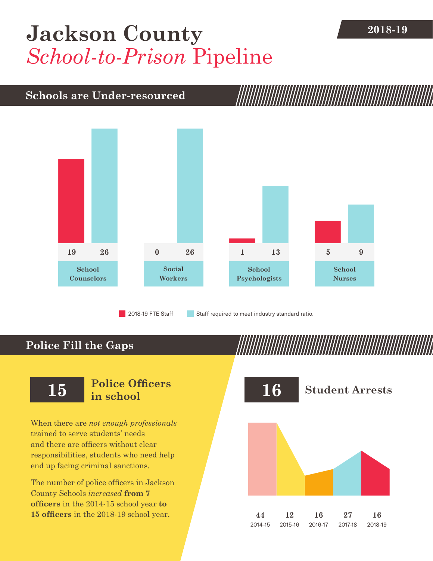## **2018-19 [Jackson County](DBF_County)** *School-to-Prison* Pipeline

### **Schools are Under-resourced**



2018-19 FTE Staff **Staff required to meet industry standard ratio.** 

## **Police Fill the Gaps**

When there are *not enough professionals* trained to serve students' needs and there are officers without clear responsibilities, students who need help end up facing criminal sanctions.

The number of police officers in [Jackson](DBF_County)  [County](DBF_County) Schools *increased* **from [7](DBF_PO1415) officers** in the 2014-15 school year **to [15](DBF_PO) officers** in the 2018-19 school year.